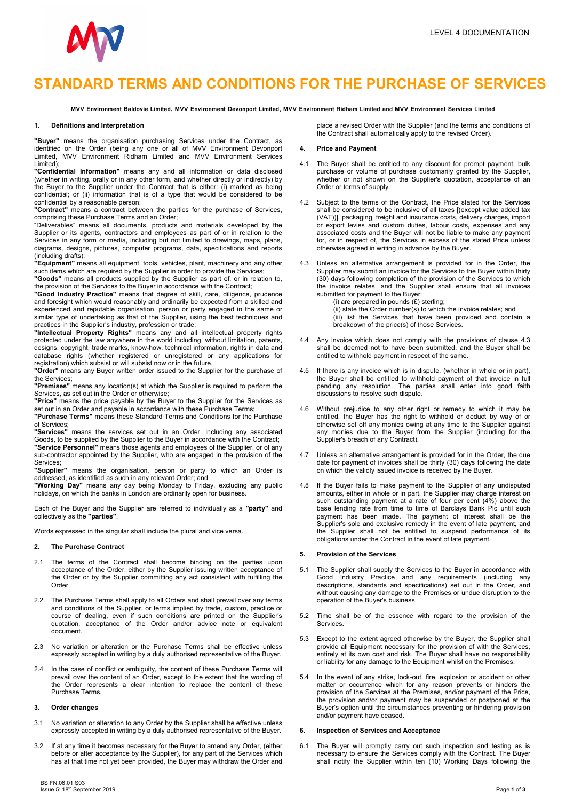

# STANDARD TERMS AND CONDITIONS FOR THE PURCHASE OF SERVICES

MVV Environment Baldovie Limited, MVV Environment Devonport Limited, MVV Environment Ridham Limited and MVV Environment Services Limited

#### 1. Definitions and Interpretation

"Buyer" means the organisation purchasing Services under the Contract, as identified on the Order (being any one or all of MVV Environment Devonport Limited, MVV Environment Ridham Limited and MVV Environment Services Limited);

"Confidential Information" means any and all information or data disclosed (whether in writing, orally or in any other form, and whether directly or indirectly) by the Buyer to the Supplier under the Contract that is either: (i) marked as being confidential; or (ii) information that is of a type that would be considered to be confidential by a reasonable person;

"Contract" means a contract between the parties for the purchase of Services, comprising these Purchase Terms and an Order;

"Deliverables" means all documents, products and materials developed by the Supplier or its agents, contractors and employees as part of or in relation to the Services in any form or media, including but not limited to drawings, maps, plans, diagrams, designs, pictures, computer programs, data, specifications and reports (including drafts);

"Equipment" means all equipment, tools, vehicles, plant, machinery and any other such items which are required by the Supplier in order to provide the Services;

"Goods" means all products supplied by the Supplier as part of, or in relation to, the provision of the Services to the Buyer in accordance with the Contract;

"Good Industry Practice" means that degree of skill, care, diligence, prudence and foresight which would reasonably and ordinarily be expected from a skilled and experienced and reputable organisation, person or party engaged in the same or similar type of undertaking as that of the Supplier, using the best techniques and practices in the Supplier's industry, profession or trade;

"Intellectual Property Rights" means any and all intellectual property rights protected under the law anywhere in the world including, without limitation, patents, designs, copyright, trade marks, know-how, technical information, rights in data and database rights (whether registered or unregistered or any applications for registration) which subsist or will subsist now or in the future.

"Order" means any Buyer written order issued to the Supplier for the purchase of the Services;

"Premises" means any location(s) at which the Supplier is required to perform the Services, as set out in the Order or otherwise;

"Price" means the price payable by the Buyer to the Supplier for the Services as set out in an Order and payable in accordance with these Purchase Terms;

"Purchase Terms" means these Standard Terms and Conditions for the Purchase of Services;

"Services" means the services set out in an Order, including any associated Goods, to be supplied by the Supplier to the Buyer in accordance with the Contract; **"Service Personnel"** means those agents and employees of the Supplier, or of any sub-contractor appointed by the Supplier, who are engaged in the provision of the Services;

"Supplier" means the organisation, person or party to which an Order is addressed, as identified as such in any relevant Order; and

"Working Day" means any day being Monday to Friday, excluding any public holidays, on which the banks in London are ordinarily open for business.

Each of the Buyer and the Supplier are referred to individually as a "party" and collectively as the "parties".

Words expressed in the singular shall include the plural and vice versa.

## 2. The Purchase Contract

- 2.1 The terms of the Contract shall become binding on the parties upon acceptance of the Order, either by the Supplier issuing written acceptance of the Order or by the Supplier committing any act consistent with fulfilling the Order.
- 2.2. The Purchase Terms shall apply to all Orders and shall prevail over any terms and conditions of the Supplier, or terms implied by trade, custom, practice or course of dealing, even if such conditions are printed on the Supplier's quotation, acceptance of the Order and/or advice note or equivalent document.
- 2.3 No variation or alteration or the Purchase Terms shall be effective unless expressly accepted in writing by a duly authorised representative of the Buyer.
- 2.4 In the case of conflict or ambiguity, the content of these Purchase Terms will prevail over the content of an Order, except to the extent that the wording of the Order represents a clear intention to replace the content of these Purchase Terms.

### 3. Order changes

- 3.1 No variation or alteration to any Order by the Supplier shall be effective unless expressly accepted in writing by a duly authorised representative of the Buyer.
- 3.2 If at any time it becomes necessary for the Buyer to amend any Order, (either before or after acceptance by the Supplier), for any part of the Services which has at that time not yet been provided, the Buyer may withdraw the Order and

BS.FN.06.01.S03 Issue 5: 18<sup>th</sup> September 2019 Page 1 of 3

place a revised Order with the Supplier (and the terms and conditions of the Contract shall automatically apply to the revised Order).

### 4. Price and Payment

- 4.1 The Buyer shall be entitled to any discount for prompt payment, bulk purchase or volume of purchase customarily granted by the Supplier, whether or not shown on the Supplier's quotation, acceptance of an Order or terms of supply.
- 4.2 Subject to the terms of the Contract, the Price stated for the Services shall be considered to be inclusive of all taxes [(except value added tax (VAT))], packaging, freight and insurance costs, delivery charges, import or export levies and custom duties, labour costs, expenses and any associated costs and the Buyer will not be liable to make any payment for, or in respect of, the Services in excess of the stated Price unless otherwise agreed in writing in advance by the Buyer.
- 4.3 Unless an alternative arrangement is provided for in the Order, the Supplier may submit an invoice for the Services to the Buyer within thirty (30) days following completion of the provision of the Services to which the invoice relates, and the Supplier shall ensure that all invoices submitted for payment to the Buyer:
	- (i) are prepared in pounds  $(E)$  sterling; (ii) state the Order number(s) to which the invoice relates; and (iii) list the Services that have been provided and contain a breakdown of the price(s) of those Services.
- Any invoice which does not comply with the provisions of clause 4.3 shall be deemed not to have been submitted, and the Buyer shall be entitled to withhold payment in respect of the same.
- If there is any invoice which is in dispute, (whether in whole or in part), the Buyer shall be entitled to withhold payment of that invoice in full pending any resolution. The parties shall enter into good faith discussions to resolve such dispute.
- 4.6 Without prejudice to any other right or remedy to which it may be entitled, the Buyer has the right to withhold or deduct by way of or otherwise set off any monies owing at any time to the Supplier against any monies due to the Buyer from the Supplier (including for the Supplier's breach of any Contract).
- 4.7 Unless an alternative arrangement is provided for in the Order, the due date for payment of invoices shall be thirty (30) days following the date on which the validly issued invoice is received by the Buyer.
- 4.8 If the Buyer fails to make payment to the Supplier of any undisputed amounts, either in whole or in part, the Supplier may charge interest on such outstanding payment at a rate of four per cent (4%) above the base lending rate from time to time of Barclays Bank Plc until such payment has been made. The payment of interest shall be the Supplier's sole and exclusive remedy in the event of late payment, and the Supplier shall not be entitled to suspend performance of its obligations under the Contract in the event of late payment.

## 5. Provision of the Services

- 5.1 The Supplier shall supply the Services to the Buyer in accordance with Good Industry Practice and any requirements (including any descriptions, standards and specifications) set out in the Order, and without causing any damage to the Premises or undue disruption to the operation of the Buyer's business.
- 5.2 Time shall be of the essence with regard to the provision of the Services.
- 5.3 Except to the extent agreed otherwise by the Buyer, the Supplier shall provide all Equipment necessary for the provision of with the Services, entirely at its own cost and risk. The Buyer shall have no responsibility or liability for any damage to the Equipment whilst on the Premises.
- 5.4 In the event of any strike, lock-out, fire, explosion or accident or other matter or occurrence which for any reason prevents or hinders the provision of the Services at the Premises, and/or payment of the Price, the provision and/or payment may be suspended or postponed at the Buyer's option until the circumstances preventing or hindering provision and/or payment have ceased.

#### 6. Inspection of Services and Acceptance

6.1 The Buyer will promptly carry out such inspection and testing as is necessary to ensure the Services comply with the Contract. The Buyer shall notify the Supplier within ten (10) Working Days following the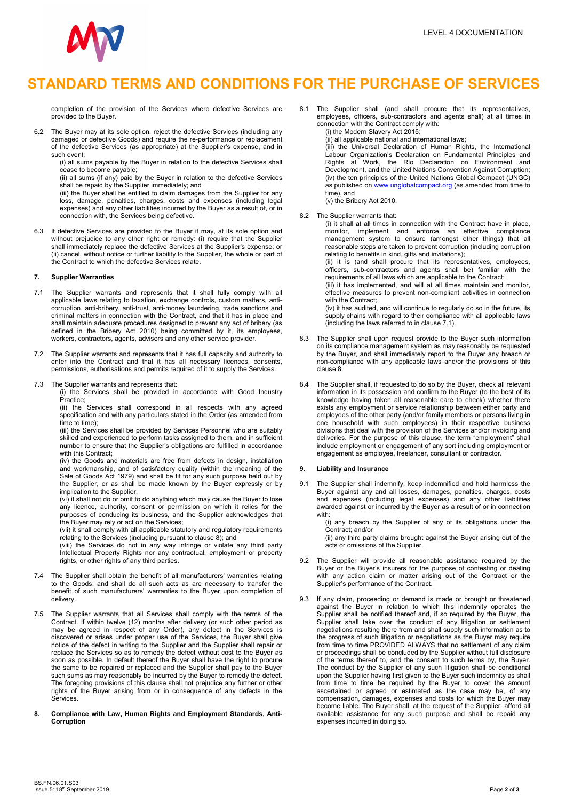

# STANDARD TERMS AND CONDITIONS FOR THE PURCHASE OF SERVICES

completion of the provision of the Services where defective Services are provided to the Buyer.

6.2 The Buyer may at its sole option, reject the defective Services (including any damaged or defective Goods) and require the re-performance or replacement of the defective Services (as appropriate) at the Supplier's expense, and in such event:

(i) all sums payable by the Buyer in relation to the defective Services shall cease to become payable;

(ii) all sums (if any) paid by the Buyer in relation to the defective Services shall be repaid by the Supplier immediately; and

 (iii) the Buyer shall be entitled to claim damages from the Supplier for any loss, damage, penalties, charges, costs and expenses (including legal expenses) and any other liabilities incurred by the Buyer as a result of, or in connection with, the Services being defective.

6.3 If defective Services are provided to the Buyer it may, at its sole option and without prejudice to any other right or remedy: (i) require that the Supplier shall immediately replace the defective Services at the Supplier's expense; or (ii) cancel, without notice or further liability to the Supplier, the whole or part of the Contract to which the defective Services relate.

## 7. Supplier Warranties

- 7.1 The Supplier warrants and represents that it shall fully comply with all applicable laws relating to taxation, exchange controls, custom matters, anticorruption, anti-bribery, anti-trust, anti-money laundering, trade sanctions and criminal matters in connection with the Contract, and that it has in place and shall maintain adequate procedures designed to prevent any act of bribery (as defined in the Bribery Act 2010) being committed by it, its employees, workers, contractors, agents, advisors and any other service provider.
- 7.2 The Supplier warrants and represents that it has full capacity and authority to enter into the Contract and that it has all necessary licences, consents, permissions, authorisations and permits required of it to supply the Services.
- 7.3 The Supplier warrants and represents that:

 (i) the Services shall be provided in accordance with Good Industry Practice;

 (ii) the Services shall correspond in all respects with any agreed specification and with any particulars stated in the Order (as amended from time to time);

 (iii) the Services shall be provided by Services Personnel who are suitably skilled and experienced to perform tasks assigned to them, and in sufficient number to ensure that the Supplier's obligations are fulfilled in accordance with this Contract;

(iv) the Goods and materials are free from defects in design, installation and workmanship, and of satisfactory quality (within the meaning of the Sale of Goods Act 1979) and shall be fit for any such purpose held out by the Supplier, or as shall be made known by the Buyer expressly or by implication to the Supplier;

(vi) it shall not do or omit to do anything which may cause the Buyer to lose any licence, authority, consent or permission on which it relies for the purposes of conducing its business, and the Supplier acknowledges that the Buyer may rely or act on the Services;

(vii) it shall comply with all applicable statutory and regulatory requirements relating to the Services (including pursuant to clause 8); and

(viii) the Services do not in any way infringe or violate any third party Intellectual Property Rights nor any contractual, employment or property rights, or other rights of any third parties.

- 7.4 The Supplier shall obtain the benefit of all manufacturers' warranties relating to the Goods, and shall do all such acts as are necessary to transfer the benefit of such manufacturers' warranties to the Buyer upon completion of delivery.
- 7.5 The Supplier warrants that all Services shall comply with the terms of the Contract. If within twelve (12) months after delivery (or such other period as may be agreed in respect of any Order), any defect in the Services is discovered or arises under proper use of the Services, the Buyer shall give notice of the defect in writing to the Supplier and the Supplier shall repair or replace the Services so as to remedy the defect without cost to the Buyer as soon as possible. In default thereof the Buyer shall have the right to procure the same to be repaired or replaced and the Supplier shall pay to the Buyer such sums as may reasonably be incurred by the Buyer to remedy the defect. The foregoing provisions of this clause shall not prejudice any further or other rights of the Buyer arising from or in consequence of any defects in the Services.
- 8. Compliance with Law, Human Rights and Employment Standards, Anti-**Corruption**
- 8.1 The Supplier shall (and shall procure that its representatives, employees, officers, sub-contractors and agents shall) at all times in connection with the Contract comply with:
	- (i) the Modern Slavery Act 2015;

(ii) all applicable national and international laws;

 (iii) the Universal Declaration of Human Rights, the International Labour Organization's Declaration on Fundamental Principles and Rights at Work, the Rio Declaration on Environment and Development, and the United Nations Convention Against Corruption; (iv) the ten principles of the United Nations Global Compact (UNGC) as published on www.unglobalcompact.org (as amended from time to time), and (v) the Bribery Act 2010.

8.2 The Supplier warrants that:

 (i) it shall at all times in connection with the Contract have in place, monitor, implement and enforce an effective compliance management system to ensure (amongst other things) that all reasonable steps are taken to prevent corruption (including corruption relating to benefits in kind, gifts and invitations);

 (ii) it is (and shall procure that its representatives, employees, officers, sub-contractors and agents shall be) familiar with the requirements of all laws which are applicable to the Contract;

 (iii) it has implemented, and will at all times maintain and monitor, effective measures to prevent non-compliant activities in connection with the Contract:

 (iv) it has audited, and will continue to regularly do so in the future, its supply chains with regard to their compliance with all applicable laws (including the laws referred to in clause 7.1).

- 8.3 The Supplier shall upon request provide to the Buyer such information on its compliance management system as may reasonably be requested by the Buyer, and shall immediately report to the Buyer any breach or non-compliance with any applicable laws and/or the provisions of this clause 8.
- The Supplier shall, if requested to do so by the Buyer, check all relevant information in its possession and confirm to the Buyer (to the best of its knowledge having taken all reasonable care to check) whether there exists any employment or service relationship between either party and employees of the other party (and/or family members or persons living in one household with such employees) in their respective business divisions that deal with the provision of the Services and/or invoicing and deliveries. For the purpose of this clause, the term "employment" shall include employment or engagement of any sort including employment or engagement as employee, freelancer, consultant or contractor.

### 9. Liability and Insurance

9.1 The Supplier shall indemnify, keep indemnified and hold harmless the Buyer against any and all losses, damages, penalties, charges, costs and expenses (including legal expenses) and any other liabilities awarded against or incurred by the Buyer as a result of or in connection with:

> (i) any breach by the Supplier of any of its obligations under the Contract; and/or

> (ii) any third party claims brought against the Buyer arising out of the acts or omissions of the Supplier.

- 9.2 The Supplier will provide all reasonable assistance required by the Buyer or the Buyer's insurers for the purpose of contesting or dealing with any action claim or matter arising out of the Contract or the Supplier's performance of the Contract.
- 9.3 If any claim, proceeding or demand is made or brought or threatened against the Buyer in relation to which this indemnity operates the Supplier shall be notified thereof and, if so required by the Buyer, the Supplier shall take over the conduct of any litigation or settlement negotiations resulting there from and shall supply such information as to the progress of such litigation or negotiations as the Buyer may require from time to time PROVIDED ALWAYS that no settlement of any claim or proceedings shall be concluded by the Supplier without full disclosure of the terms thereof to, and the consent to such terms by, the Buyer. The conduct by the Supplier of any such litigation shall be conditional upon the Supplier having first given to the Buyer such indemnity as shall from time to time be required by the Buyer to cover the amount ascertained or agreed or estimated as the case may be, of any compensation, damages, expenses and costs for which the Buyer may become liable. The Buyer shall, at the request of the Supplier, afford all available assistance for any such purpose and shall be repaid any expenses incurred in doing so.